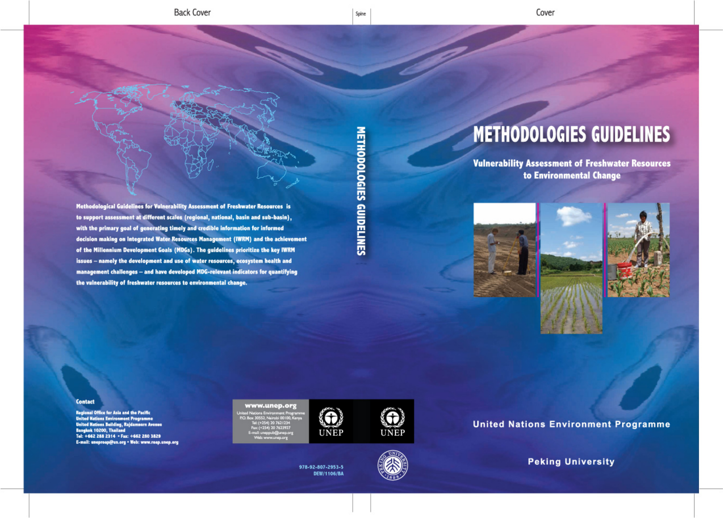**METHODOLOGIES GUIDELINES** 



**Vulnerability Assessment of Freshwater Resources** to Environmental Change



## Methodological Guidelines for Vulnerability Assessment of Freshwater Resources is to support assessment at different scales (regional, national, basin and sub-basin), with the primary goal of generating timely and credible information for informed decision making on Integrated Water Resources Management (IWRM) and the achievement of the Millennium Development Goals (MDGs). The guidelines prioritize the key IWRM issues - namely the development and use of water resources, ecosystem health and management challenges - and have developed MDG-relevant indicators for quantifying the vulnerability of freshwater resources to environmental change.

## **Contact**

**Regional Office for Asia and the Pacific** United Nations Environment Programme<br>United Nations Building, Rajdamnern Avenue **Bangkok 10200, Thailand** Tel: +662 288 2314 · Fax: +662 280 3829 E-mail: uneproap@un.org . Web: www.roap.unep.org

#### www.unep.org







# **METHODOLOGIES GUIDELINES**





**United Nations Environment Programme** 

**Peking University**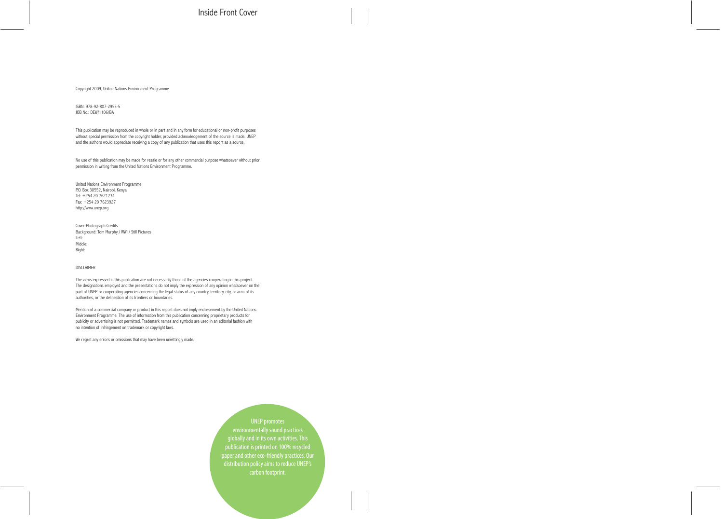Inside Front Cover

Copyright 2009, United Nations Environment Programme

ISBN: 978-92-807-2953-5 JOB No.: DEW/1106/BA

This publication may be reproduced in whole or in part and in any form for educational or non-profit purposes without special permission from the copyright holder, provided acknowledgement of the source is made. UNEP and the authors would appreciate receiving a copy of any publication that uses this report as a source.

No use of this publication may be made for resale or for any other commercial purpose whatsoever without prior permission in writing from the United Nations Environment Programme.

United Nations Environment Programme P.O. Box 30552, Nairobi, Kenya Tel: +254 20 7621234 Fax: +254 20 7623927 http://www.unep.org

Cover Photograph Credits Background: Tom Murphy / WWI / Still Pictures Left: Middle: Right:

#### DISCLAIMER

The views expressed in this publication are not necessarily those of the agencies cooperating in this project. The designations employed and the presentations do not imply the expression of any opinion whatsoever on the part of UNEP or cooperating agencies concerning the legal status of any country, territory, city, or area of its authorities, or the delineation of its frontiers or boundaries.

Mention of a commercial company or product in this report does not imply endorsement by the United Nations Environment Programme. The use of information from this publication concerning proprietary products for publicity or advertising is not permitted. Trademark names and symbols are used in an editorial fashion with no intention of infringement on trademark or copyright laws.

We regret any errors or omissions that may have been unwittingly made.

UNEP promotes environmentally sound practices globally and in its own activities.This publication is printed on 100% recycled paper and other eco-friendly practices. Our distribution policy aims to reduce UNEP's carbon footprint.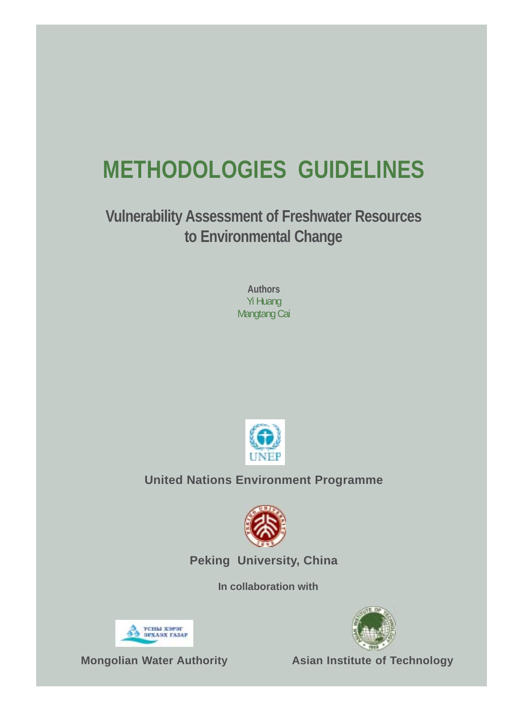# **METHODOLOGIES GUIDELINES**

**Vulnerability Assessment of Freshwater Resources to Environmental Change**

> **Authors** Yi Huang Mangtang Cai



## **United Nations Environment Programme**



**Peking University, China**

**In collaboration with**



3 УСНЫ ХЭРЭГ<br>93 БРХАЭХ ГАЗАР

**Mongolian Water Authority Asian Institute of Technology**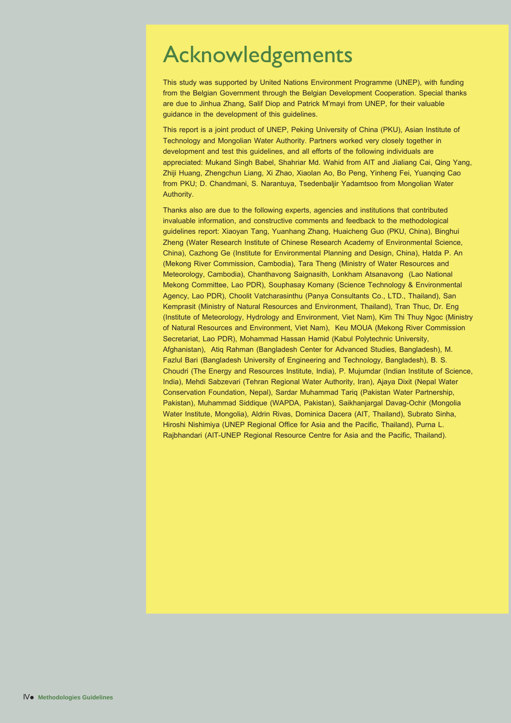## Acknowledgements

This study was supported by United Nations Environment Programme (UNEP), with funding from the Belgian Government through the Belgian Development Cooperation. Special thanks are due to Jinhua Zhang, Salif Diop and Patrick M'mayi from UNEP, for their valuable guidance in the development of this guidelines.

This report is a joint product of UNEP, Peking University of China (PKU), Asian Institute of Technology and Mongolian Water Authority. Partners worked very closely together in development and test this guidelines, and all efforts of the following individuals are appreciated: Mukand Singh Babel, Shahriar Md. Wahid from AIT and Jialiang Cai, Qing Yang, Zhiji Huang, Zhengchun Liang, Xi Zhao, Xiaolan Ao, Bo Peng, Yinheng Fei, Yuanqing Cao from PKU; D. Chandmani, S. Narantuya, Tsedenbaljir Yadamtsoo from Mongolian Water Authority.

Thanks also are due to the following experts, agencies and institutions that contributed invaluable information, and constructive comments and feedback to the methodological guidelines report: Xiaoyan Tang, Yuanhang Zhang, Huaicheng Guo (PKU, China), Binghui Zheng (Water Research Institute of Chinese Research Academy of Environmental Science, China), Cazhong Ge (Institute for Environmental Planning and Design, China), Hatda P. An (Mekong River Commission, Cambodia), Tara Theng (Ministry of Water Resources and Meteorology, Cambodia), Chanthavong Saignasith, Lonkham Atsanavong (Lao National Mekong Committee, Lao PDR), Souphasay Komany (Science Technology & Environmental Agency, Lao PDR), Choolit Vatcharasinthu (Panya Consultants Co., LTD., Thailand), San Kemprasit (Ministry of Natural Resources and Environment, Thailand), Tran Thuc, Dr. Eng (Institute of Meteorology, Hydrology and Environment, Viet Nam), Kim Thi Thuy Ngoc (Ministry of Natural Resources and Environment, Viet Nam), Keu MOUA (Mekong River Commission Secretariat, Lao PDR), Mohammad Hassan Hamid (Kabul Polytechnic University, Afghanistan), Atiq Rahman (Bangladesh Center for Advanced Studies, Bangladesh), M. Fazlul Bari (Bangladesh University of Engineering and Technology, Bangladesh), B. S. Choudri (The Energy and Resources Institute, India), P. Mujumdar (Indian Institute of Science, India), Mehdi Sabzevari (Tehran Regional Water Authority, Iran), Ajaya Dixit (Nepal Water Conservation Foundation, Nepal), Sardar Muhammad Tariq (Pakistan Water Partnership, Pakistan), Muhammad Siddique (WAPDA, Pakistan), Saikhanjargal Davag-Ochir (Mongolia Water Institute, Mongolia), Aldrin Rivas, Dominica Dacera (AIT, Thailand), Subrato Sinha, Hiroshi Nishimiya (UNEP Regional Office for Asia and the Pacific, Thailand), Purna L. Rajbhandari (AIT-UNEP Regional Resource Centre for Asia and the Pacific, Thailand).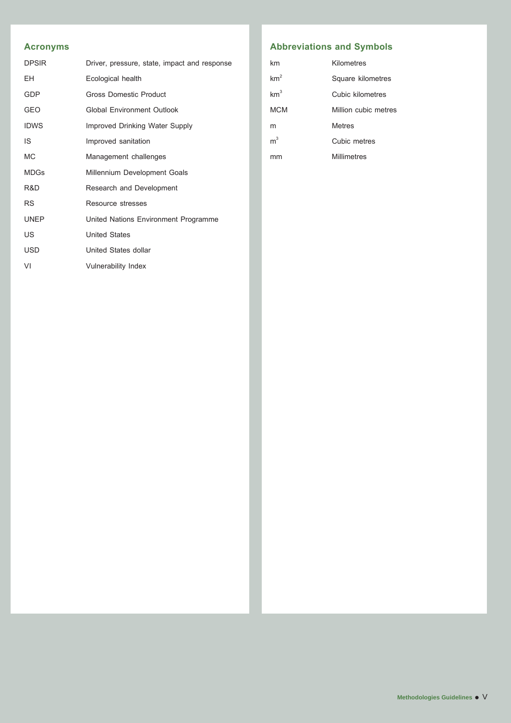### **Acronyms**

| <b>DPSIR</b> | Driver, pressure, state, impact and response |  |  |  |  |
|--------------|----------------------------------------------|--|--|--|--|
| EH.          | Ecological health                            |  |  |  |  |
| <b>GDP</b>   | <b>Gross Domestic Product</b>                |  |  |  |  |
| <b>GEO</b>   | <b>Global Environment Outlook</b>            |  |  |  |  |
| <b>IDWS</b>  | Improved Drinking Water Supply               |  |  |  |  |
| IS           | Improved sanitation                          |  |  |  |  |
| <b>MC</b>    | Management challenges                        |  |  |  |  |
| <b>MDGs</b>  | Millennium Development Goals                 |  |  |  |  |
| R&D          | Research and Development                     |  |  |  |  |
| <b>RS</b>    | Resource stresses                            |  |  |  |  |
| <b>UNEP</b>  | United Nations Environment Programme         |  |  |  |  |
| US           | <b>United States</b>                         |  |  |  |  |
| <b>USD</b>   | United States dollar                         |  |  |  |  |
| VI           | <b>Vulnerability Index</b>                   |  |  |  |  |

### **Abbreviations and Symbols**

| km              | Kilometres           |
|-----------------|----------------------|
| km <sup>2</sup> | Square kilometres    |
| km <sup>3</sup> | Cubic kilometres     |
| MCM             | Million cubic metres |
| m               | Metres               |
| m <sup>3</sup>  | Cubic metres         |
|                 | Millimetres          |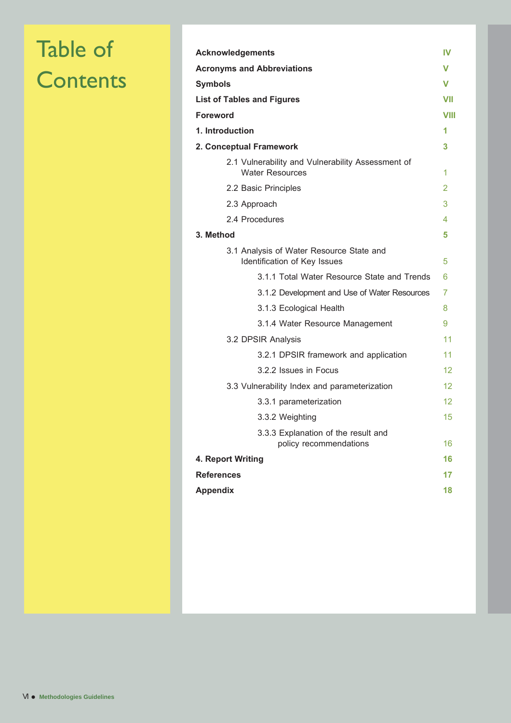# Table of **Contents**

| <b>Acknowledgements</b>                                                     |                 |  |  |
|-----------------------------------------------------------------------------|-----------------|--|--|
| <b>Acronyms and Abbreviations</b>                                           |                 |  |  |
| Symbols                                                                     |                 |  |  |
| <b>List of Tables and Figures</b>                                           | VII             |  |  |
| Foreword                                                                    | VIII            |  |  |
| 1. Introduction                                                             | 1               |  |  |
| 2. Conceptual Framework                                                     | 3               |  |  |
| 2.1 Vulnerability and Vulnerability Assessment of<br><b>Water Resources</b> | 1               |  |  |
| 2.2 Basic Principles                                                        | $\overline{2}$  |  |  |
| 2.3 Approach                                                                | 3               |  |  |
| 2.4 Procedures                                                              | 4               |  |  |
| 3. Method                                                                   | 5               |  |  |
| 3.1 Analysis of Water Resource State and<br>Identification of Key Issues    | 5               |  |  |
| 3.1.1 Total Water Resource State and Trends                                 | 6               |  |  |
| 3.1.2 Development and Use of Water Resources                                | 7               |  |  |
| 3.1.3 Ecological Health                                                     | 8               |  |  |
| 3.1.4 Water Resource Management                                             | 9               |  |  |
| 3.2 DPSIR Analysis                                                          | 11              |  |  |
| 3.2.1 DPSIR framework and application                                       | 11              |  |  |
| 3.2.2 Issues in Focus                                                       | 12 <sup>°</sup> |  |  |
| 3.3 Vulnerability Index and parameterization                                | 12              |  |  |
| 3.3.1 parameterization                                                      | 12 <sup>°</sup> |  |  |
| 3.3.2 Weighting                                                             | 15              |  |  |
| 3.3.3 Explanation of the result and<br>policy recommendations               | 16              |  |  |
| 4. Report Writing                                                           | 16              |  |  |
| <b>References</b>                                                           | 17              |  |  |
| <b>Appendix</b>                                                             | 18              |  |  |
|                                                                             |                 |  |  |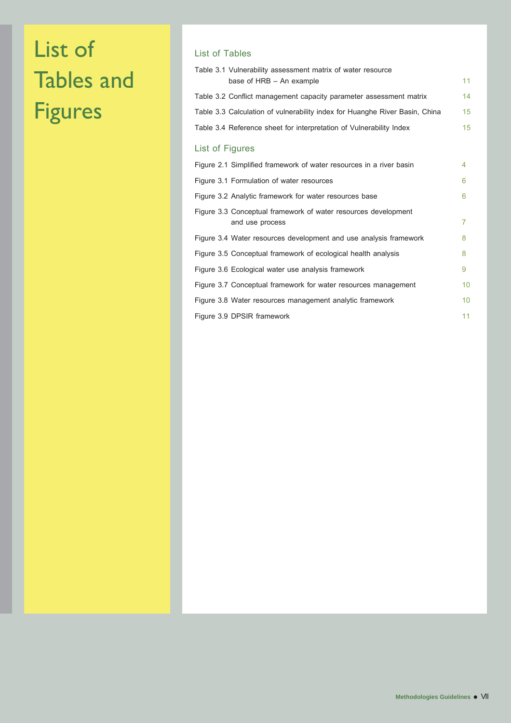# List of Tables and Figures

### List of Tables

| Table 3.1 Vulnerability assessment matrix of water resource                       |                |
|-----------------------------------------------------------------------------------|----------------|
| base of HRB - An example                                                          | 11             |
| Table 3.2 Conflict management capacity parameter assessment matrix                | 14             |
| Table 3.3 Calculation of vulnerability index for Huanghe River Basin, China       | 15             |
| Table 3.4 Reference sheet for interpretation of Vulnerability Index               | 15             |
| List of Figures                                                                   |                |
| Figure 2.1 Simplified framework of water resources in a river basin               | 4              |
| Figure 3.1 Formulation of water resources                                         | 6              |
| Figure 3.2 Analytic framework for water resources base                            | 6              |
| Figure 3.3 Conceptual framework of water resources development<br>and use process | $\overline{7}$ |
| Figure 3.4 Water resources development and use analysis framework                 | 8              |
| Figure 3.5 Conceptual framework of ecological health analysis                     | 8              |
| Figure 3.6 Ecological water use analysis framework                                | 9              |
| Figure 3.7 Conceptual framework for water resources management                    | 10             |
| Figure 3.8 Water resources management analytic framework                          | 10             |
| Figure 3.9 DPSIR framework                                                        | 11             |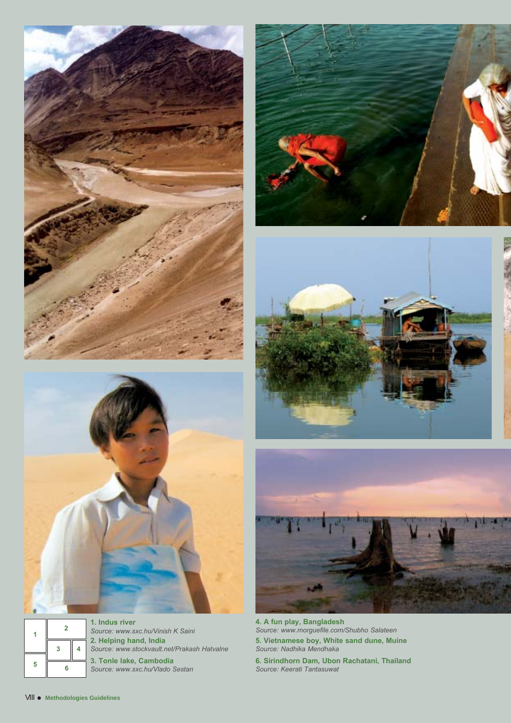





**2. Helping hand, India** *Source: www.stockvault.net/Prakash Hatvalne* **3. Tonle lake, Cambodia** *Source: www.sxc.hu/Vlado Sestan* **1. Indus river** *Source: www.sxc.hu/Vinish K Saini*







**4. A fun play, Bangladesh** *Source: www.morguefile.com/Shubho Salateen* **5. Vietnamese boy, White sand dune, Muine** *Source: Nadhika Mendhaka*

**6. Sirindhorn Dam, Ubon Rachatani, Thailand** *Source: Keerati Tantasuwat*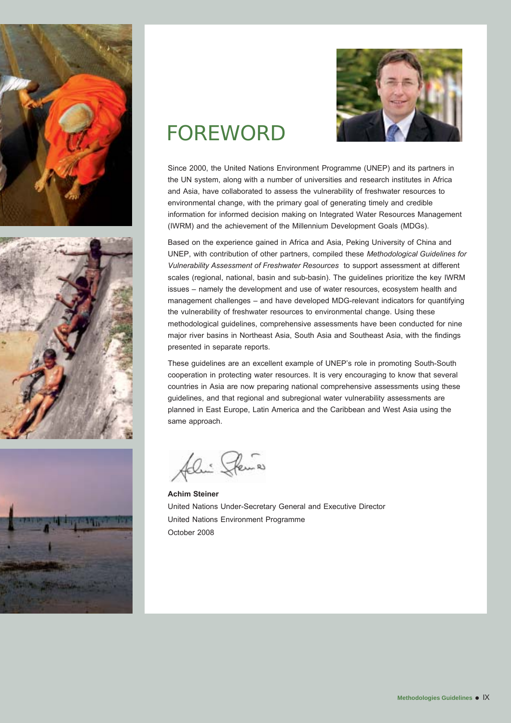







## FOREWORD

Since 2000, the United Nations Environment Programme (UNEP) and its partners in the UN system, along with a number of universities and research institutes in Africa and Asia, have collaborated to assess the vulnerability of freshwater resources to environmental change, with the primary goal of generating timely and credible information for informed decision making on Integrated Water Resources Management (IWRM) and the achievement of the Millennium Development Goals (MDGs).

Based on the experience gained in Africa and Asia, Peking University of China and UNEP, with contribution of other partners, compiled these *Methodological Guidelines for Vulnerability Assessment of Freshwater Resources* to support assessment at different scales (regional, national, basin and sub-basin). The guidelines prioritize the key IWRM issues – namely the development and use of water resources, ecosystem health and management challenges – and have developed MDG-relevant indicators for quantifying the vulnerability of freshwater resources to environmental change. Using these methodological guidelines, comprehensive assessments have been conducted for nine major river basins in Northeast Asia, South Asia and Southeast Asia, with the findings presented in separate reports.

These guidelines are an excellent example of UNEP's role in promoting South-South cooperation in protecting water resources. It is very encouraging to know that several countries in Asia are now preparing national comprehensive assessments using these guidelines, and that regional and subregional water vulnerability assessments are planned in East Europe, Latin America and the Caribbean and West Asia using the same approach.

felin Pema

**Achim Steiner** United Nations Under-Secretary General and Executive Director United Nations Environment Programme October 2008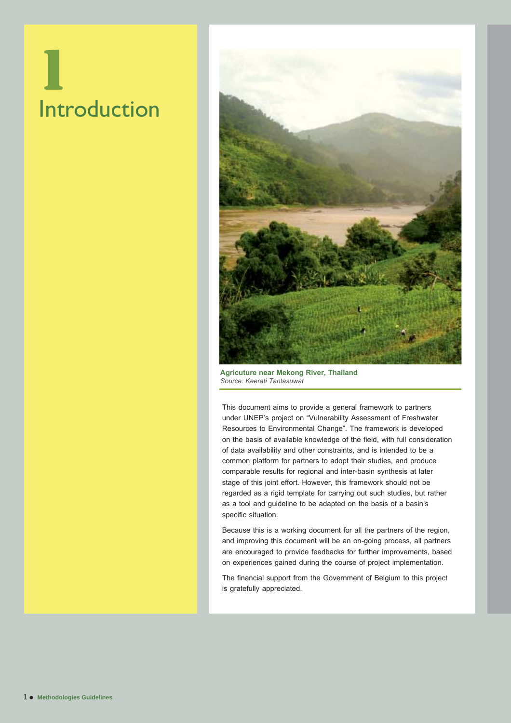# 1 Introduction



**Agricuture near Mekong River, Thailand** *Source: Keerati Tantasuwat*

This document aims to provide a general framework to partners under UNEP's project on "Vulnerability Assessment of Freshwater Resources to Environmental Change". The framework is developed on the basis of available knowledge of the field, with full consideration of data availability and other constraints, and is intended to be a common platform for partners to adopt their studies, and produce comparable results for regional and inter-basin synthesis at later stage of this joint effort. However, this framework should not be regarded as a rigid template for carrying out such studies, but rather as a tool and guideline to be adapted on the basis of a basin's specific situation.

Because this is a working document for all the partners of the region, and improving this document will be an on-going process, all partners are encouraged to provide feedbacks for further improvements, based on experiences gained during the course of project implementation.

The financial support from the Government of Belgium to this project is gratefully appreciated.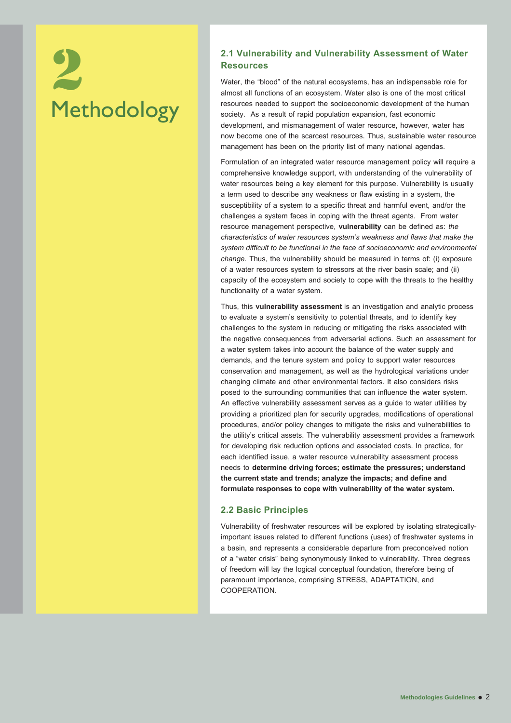# Methodology 2.1 Vulnerability and Vulnerability Assessment of Water<br>
Resources<br>
Water, the "blood" of the natural ecosystems, has an indispensable role for<br>
almost all functions of an ecosystem. Water also is one of the most critical<br>

## **Resources**

Water, the "blood" of the natural ecosystems, has an indispensable role for almost all functions of an ecosystem. Water also is one of the most critical resources needed to support the socioeconomic development of the human society. As a result of rapid population expansion, fast economic development, and mismanagement of water resource, however, water has now become one of the scarcest resources. Thus, sustainable water resource management has been on the priority list of many national agendas.

Formulation of an integrated water resource management policy will require a comprehensive knowledge support, with understanding of the vulnerability of water resources being a key element for this purpose. Vulnerability is usually a term used to describe any weakness or flaw existing in a system, the susceptibility of a system to a specific threat and harmful event, and/or the challenges a system faces in coping with the threat agents. From water resource management perspective, **vulnerability** can be defined as: *the characteristics of water resources system's weakness and flaws that make the system difficult to be functional in the face of socioeconomic and environmental change.* Thus, the vulnerability should be measured in terms of: (i) exposure of a water resources system to stressors at the river basin scale; and (ii) capacity of the ecosystem and society to cope with the threats to the healthy functionality of a water system.

Thus, this **vulnerability assessment** is an investigation and analytic process to evaluate a system's sensitivity to potential threats, and to identify key challenges to the system in reducing or mitigating the risks associated with the negative consequences from adversarial actions. Such an assessment for a water system takes into account the balance of the water supply and demands, and the tenure system and policy to support water resources conservation and management, as well as the hydrological variations under changing climate and other environmental factors. It also considers risks posed to the surrounding communities that can influence the water system. An effective vulnerability assessment serves as a guide to water utilities by providing a prioritized plan for security upgrades, modifications of operational procedures, and/or policy changes to mitigate the risks and vulnerabilities to the utility's critical assets. The vulnerability assessment provides a framework for developing risk reduction options and associated costs. In practice, for each identified issue, a water resource vulnerability assessment process needs to **determine driving forces; estimate the pressures; understand the current state and trends; analyze the impacts; and define and formulate responses to cope with vulnerability of the water system.**

#### **2.2 Basic Principles**

Vulnerability of freshwater resources will be explored by isolating strategicallyimportant issues related to different functions (uses) of freshwater systems in a basin, and represents a considerable departure from preconceived notion of a "water crisis" being synonymously linked to vulnerability. Three degrees of freedom will lay the logical conceptual foundation, therefore being of paramount importance, comprising STRESS, ADAPTATION, and COOPERATION.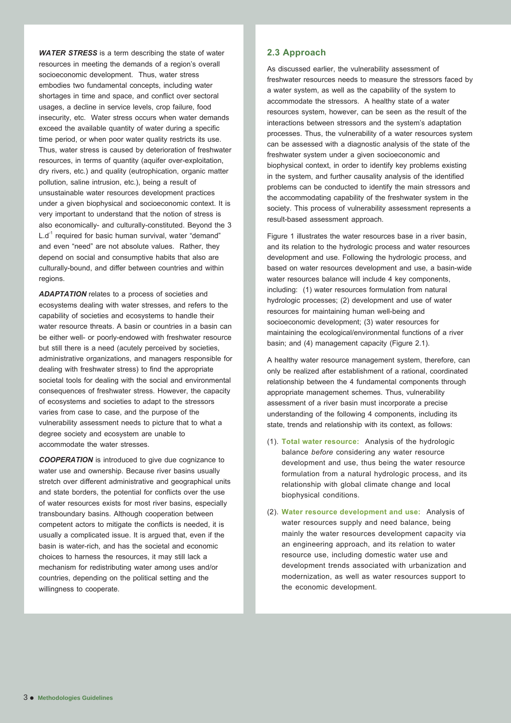*WATER STRESS* is a term describing the state of water resources in meeting the demands of a region's overall socioeconomic development. Thus, water stress embodies two fundamental concepts, including water shortages in time and space, and conflict over sectoral usages, a decline in service levels, crop failure, food insecurity, etc. Water stress occurs when water demands exceed the available quantity of water during a specific time period, or when poor water quality restricts its use. Thus, water stress is caused by deterioration of freshwater resources, in terms of quantity (aquifer over-exploitation, dry rivers, etc.) and quality (eutrophication, organic matter pollution, saline intrusion, etc.), being a result of unsustainable water resources development practices under a given biophysical and socioeconomic context. It is very important to understand that the notion of stress is also economically- and culturally-constituted. Beyond the 3  $L.d<sup>-1</sup>$  required for basic human survival, water "demand" and even "need" are not absolute values. Rather, they depend on social and consumptive habits that also are culturally-bound, and differ between countries and within regions.

*ADAPTATION* relates to a process of societies and ecosystems dealing with water stresses, and refers to the capability of societies and ecosystems to handle their water resource threats. A basin or countries in a basin can be either well- or poorly-endowed with freshwater resource but still there is a need (acutely perceived by societies, administrative organizations, and managers responsible for dealing with freshwater stress) to find the appropriate societal tools for dealing with the social and environmental consequences of freshwater stress. However, the capacity of ecosystems and societies to adapt to the stressors varies from case to case, and the purpose of the vulnerability assessment needs to picture that to what a degree society and ecosystem are unable to accommodate the water stresses.

*COOPERATION* is introduced to give due cognizance to water use and ownership. Because river basins usually stretch over different administrative and geographical units and state borders, the potential for conflicts over the use of water resources exists for most river basins, especially transboundary basins. Although cooperation between competent actors to mitigate the conflicts is needed, it is usually a complicated issue. It is argued that, even if the basin is water-rich, and has the societal and economic choices to harness the resources, it may still lack a mechanism for redistributing water among uses and/or countries, depending on the political setting and the willingness to cooperate.

#### **2.3 Approach**

As discussed earlier, the vulnerability assessment of freshwater resources needs to measure the stressors faced by a water system, as well as the capability of the system to accommodate the stressors. A healthy state of a water resources system, however, can be seen as the result of the interactions between stressors and the system's adaptation processes. Thus, the vulnerability of a water resources system can be assessed with a diagnostic analysis of the state of the freshwater system under a given socioeconomic and biophysical context, in order to identify key problems existing in the system, and further causality analysis of the identified problems can be conducted to identify the main stressors and the accommodating capability of the freshwater system in the society. This process of vulnerability assessment represents a result-based assessment approach.

Figure 1 illustrates the water resources base in a river basin, and its relation to the hydrologic process and water resources development and use. Following the hydrologic process, and based on water resources development and use, a basin-wide water resources balance will include 4 key components, including: (1) water resources formulation from natural hydrologic processes; (2) development and use of water resources for maintaining human well-being and socioeconomic development; (3) water resources for maintaining the ecological/environmental functions of a river basin; and (4) management capacity (Figure 2.1).

A healthy water resource management system, therefore, can only be realized after establishment of a rational, coordinated relationship between the 4 fundamental components through appropriate management schemes. Thus, vulnerability assessment of a river basin must incorporate a precise understanding of the following 4 components, including its state, trends and relationship with its context, as follows:

- (1). **Total water resource:** Analysis of the hydrologic balance *before* considering any water resource development and use, thus being the water resource formulation from a natural hydrologic process, and its relationship with global climate change and local biophysical conditions.
- (2). **Water resource development and use:** Analysis of water resources supply and need balance, being mainly the water resources development capacity via an engineering approach, and its relation to water resource use, including domestic water use and development trends associated with urbanization and modernization, as well as water resources support to the economic development.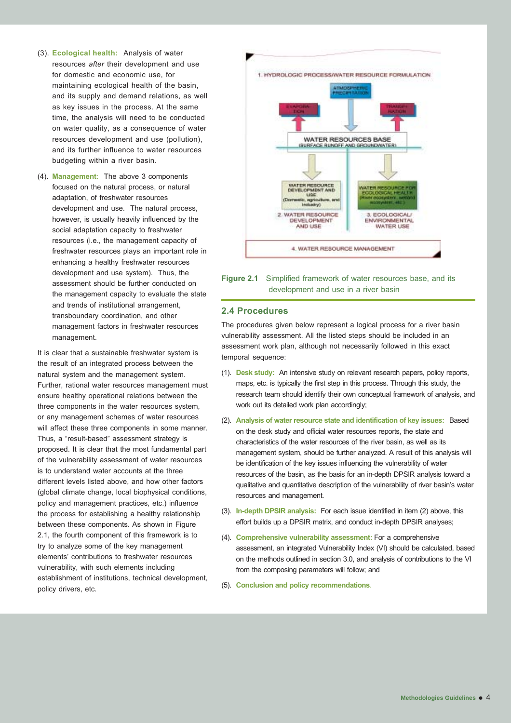- (3). **Ecological health:** Analysis of water resources *after* their development and use for domestic and economic use, for maintaining ecological health of the basin, and its supply and demand relations, as well as key issues in the process. At the same time, the analysis will need to be conducted on water quality, as a consequence of water resources development and use (pollution), and its further influence to water resources budgeting within a river basin.
- (4). **Management**: The above 3 components focused on the natural process, or natural adaptation, of freshwater resources development and use. The natural process, however, is usually heavily influenced by the social adaptation capacity to freshwater resources (i.e., the management capacity of freshwater resources plays an important role in enhancing a healthy freshwater resources development and use system). Thus, the assessment should be further conducted on the management capacity to evaluate the state and trends of institutional arrangement, transboundary coordination, and other management factors in freshwater resources management.

It is clear that a sustainable freshwater system is the result of an integrated process between the natural system and the management system. Further, rational water resources management must ensure healthy operational relations between the three components in the water resources system, or any management schemes of water resources will affect these three components in some manner. Thus, a "result-based" assessment strategy is proposed. It is clear that the most fundamental part of the vulnerability assessment of water resources is to understand water accounts at the three different levels listed above, and how other factors (global climate change, local biophysical conditions, policy and management practices, etc.) influence the process for establishing a healthy relationship between these components. As shown in Figure 2.1, the fourth component of this framework is to try to analyze some of the key management elements' contributions to freshwater resources vulnerability, with such elements including establishment of institutions, technical development, policy drivers, etc.

1. HYDROLOGIC PROCESS/WATER RESOURCE FORMULATION WATER RESOURCES BASE ISURFACE BUNDEF AND GROUNDWATERS **WATER RESOURCE**<br>DEVELOPMENT AND tic, agricult<br>Inclustry) 2. WATER RESOURCE 3. ECOLOGICAL/ DEVELOPMENT **EMVIRONMENTAL** AND USE WATER USE 4. WATER RESOURCE MANAGEMENT

#### **Figure 2.1** | Simplified framework of water resources base, and its development and use in a river basin

#### **2.4 Procedures**

The procedures given below represent a logical process for a river basin vulnerability assessment. All the listed steps should be included in an assessment work plan, although not necessarily followed in this exact temporal sequence:

- (1). **Desk study:** An intensive study on relevant research papers, policy reports, maps, etc. is typically the first step in this process. Through this study, the research team should identify their own conceptual framework of analysis, and work out its detailed work plan accordingly;
- (2). **Analysis of water resource state and identification of key issues:** Based on the desk study and official water resources reports, the state and characteristics of the water resources of the river basin, as well as its management system, should be further analyzed. A result of this analysis will be identification of the key issues influencing the vulnerability of water resources of the basin, as the basis for an in-depth DPSIR analysis toward a qualitative and quantitative description of the vulnerability of river basin's water resources and management.
- (3). **In-depth DPSIR analysis:** For each issue identified in item (2) above, this effort builds up a DPSIR matrix, and conduct in-depth DPSIR analyses;
- (4). **Comprehensive vulnerability assessment:**For a comprehensive assessment, an integrated Vulnerability Index (VI) should be calculated, based on the methods outlined in section 3.0, and analysis of contributions to the VI from the composing parameters will follow; and
- (5). **Conclusion and policy recommendations**.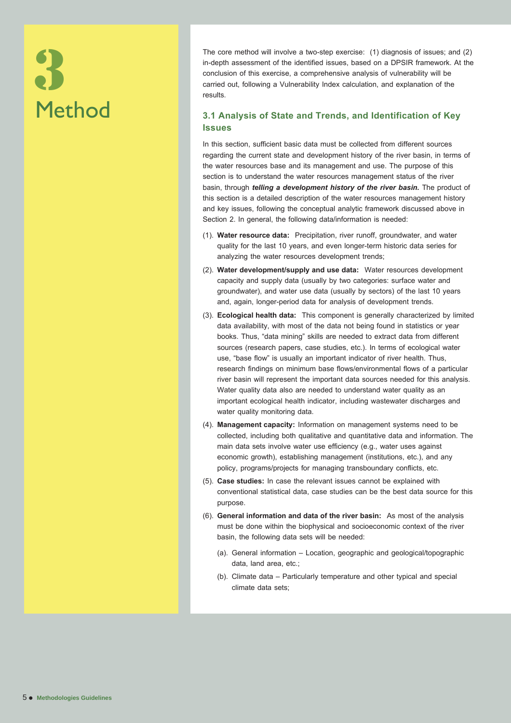# Method 3

The core method will involve a two-step exercise: (1) diagnosis of issues; and (2) in-depth assessment of the identified issues, based on a DPSIR framework. At the conclusion of this exercise, a comprehensive analysis of vulnerability will be carried out, following a Vulnerability Index calculation, and explanation of the results.

#### **3.1 Analysis of State and Trends, and Identification of Key Issues**

In this section, sufficient basic data must be collected from different sources regarding the current state and development history of the river basin, in terms of the water resources base and its management and use. The purpose of this section is to understand the water resources management status of the river basin, through *telling a development history of the river basin.* The product of this section is a detailed description of the water resources management history and key issues, following the conceptual analytic framework discussed above in Section 2. In general, the following data/information is needed:

- (1). **Water resource data:** Precipitation, river runoff, groundwater, and water quality for the last 10 years, and even longer-term historic data series for analyzing the water resources development trends;
- (2). **Water development/supply and use data:** Water resources development capacity and supply data (usually by two categories: surface water and groundwater), and water use data (usually by sectors) of the last 10 years and, again, longer-period data for analysis of development trends.
- (3). **Ecological health data:** This component is generally characterized by limited data availability, with most of the data not being found in statistics or year books. Thus, "data mining" skills are needed to extract data from different sources (research papers, case studies, etc.). In terms of ecological water use, "base flow" is usually an important indicator of river health. Thus, research findings on minimum base flows/environmental flows of a particular river basin will represent the important data sources needed for this analysis. Water quality data also are needed to understand water quality as an important ecological health indicator, including wastewater discharges and water quality monitoring data.
- (4). **Management capacity:** Information on management systems need to be collected, including both qualitative and quantitative data and information. The main data sets involve water use efficiency (e.g., water uses against economic growth), establishing management (institutions, etc.), and any policy, programs/projects for managing transboundary conflicts, etc.
- (5). **Case studies:** In case the relevant issues cannot be explained with conventional statistical data, case studies can be the best data source for this purpose.
- (6). **General information and data of the river basin:** As most of the analysis must be done within the biophysical and socioeconomic context of the river basin, the following data sets will be needed:
	- (a). General information Location, geographic and geological/topographic data, land area, etc.;
	- (b). Climate data Particularly temperature and other typical and special climate data sets;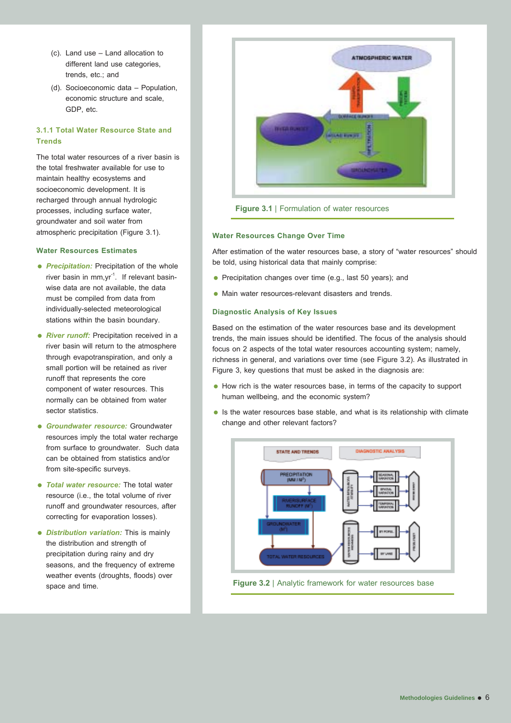- (c). Land use Land allocation to different land use categories, trends, etc.; and
- (d). Socioeconomic data Population, economic structure and scale, GDP, etc.

#### **3.1.1 Total Water Resource State and Trends**

The total water resources of a river basin is the total freshwater available for use to maintain healthy ecosystems and socioeconomic development. It is recharged through annual hydrologic processes, including surface water, groundwater and soil water from atmospheric precipitation (Figure 3.1).

#### **Water Resources Estimates**

- **Precipitation:** Precipitation of the whole river basin in mm, yr<sup>-1</sup>. If relevant basinwise data are not available, the data must be compiled from data from individually-selected meteorological stations within the basin boundary.
- **River runoff:** Precipitation received in a river basin will return to the atmosphere through evapotranspiration, and only a small portion will be retained as river runoff that represents the core component of water resources. This normally can be obtained from water sector statistics.
- *Groundwater resource:* Groundwater resources imply the total water recharge from surface to groundwater. Such data can be obtained from statistics and/or from site-specific surveys.
- *Total water resource:* The total water resource (i.e., the total volume of river runoff and groundwater resources, after correcting for evaporation losses).
- *Distribution variation:* This is mainly the distribution and strength of precipitation during rainy and dry seasons, and the frequency of extreme weather events (droughts, floods) over space and time.



**Figure 3.1** | Formulation of water resources

#### **Water Resources Change Over Time**

After estimation of the water resources base, a story of "water resources" should be told, using historical data that mainly comprise:

- Precipitation changes over time (e.g., last 50 years); and
- Main water resources-relevant disasters and trends.

#### **Diagnostic Analysis of Key Issues**

Based on the estimation of the water resources base and its development trends, the main issues should be identified. The focus of the analysis should focus on 2 aspects of the total water resources accounting system; namely, richness in general, and variations over time (see Figure 3.2). As illustrated in Figure 3, key questions that must be asked in the diagnosis are:

- How rich is the water resources base, in terms of the capacity to support human wellbeing, and the economic system?
- Is the water resources base stable, and what is its relationship with climate change and other relevant factors?

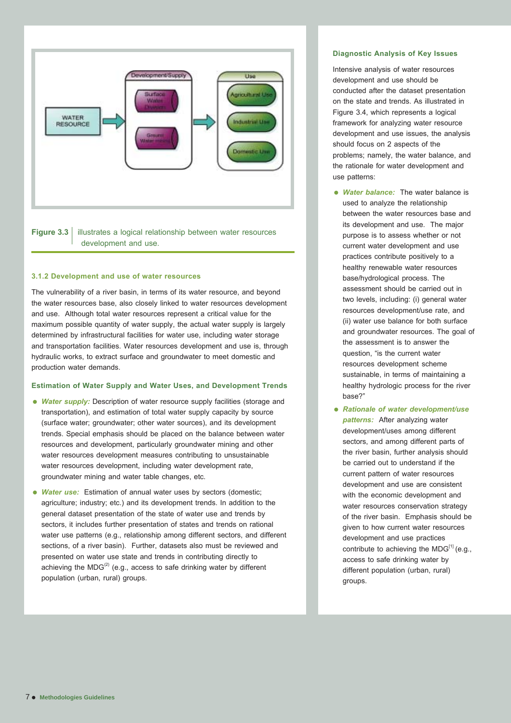



#### **3.1.2 Development and use of water resources**

The vulnerability of a river basin, in terms of its water resource, and beyond the water resources base, also closely linked to water resources development and use. Although total water resources represent a critical value for the maximum possible quantity of water supply, the actual water supply is largely determined by infrastructural facilities for water use, including water storage and transportation facilities. Water resources development and use is, through hydraulic works, to extract surface and groundwater to meet domestic and production water demands.

#### **Estimation of Water Supply and Water Uses, and Development Trends**

- *Water supply:* Description of water resource supply facilities (storage and transportation), and estimation of total water supply capacity by source (surface water; groundwater; other water sources), and its development trends. Special emphasis should be placed on the balance between water resources and development, particularly groundwater mining and other water resources development measures contributing to unsustainable water resources development, including water development rate, groundwater mining and water table changes, etc.
- *Water use:* Estimation of annual water uses by sectors (domestic; agriculture; industry; etc.) and its development trends. In addition to the general dataset presentation of the state of water use and trends by sectors, it includes further presentation of states and trends on rational water use patterns (e.g., relationship among different sectors, and different sections, of a river basin). Further, datasets also must be reviewed and presented on water use state and trends in contributing directly to achieving the  $MDG^{(2)}$  (e.g., access to safe drinking water by different population (urban, rural) groups.

#### **Diagnostic Analysis of Key Issues**

Intensive analysis of water resources development and use should be conducted after the dataset presentation on the state and trends. As illustrated in Figure 3.4, which represents a logical framework for analyzing water resource development and use issues, the analysis should focus on 2 aspects of the problems; namely, the water balance, and the rationale for water development and use patterns:

- *Water balance:* The water balance is used to analyze the relationship between the water resources base and its development and use. The major purpose is to assess whether or not current water development and use practices contribute positively to a healthy renewable water resources base/hydrological process. The assessment should be carried out in two levels, including: (i) general water resources development/use rate, and (ii) water use balance for both surface and groundwater resources. The goal of the assessment is to answer the question, "is the current water resources development scheme sustainable, in terms of maintaining a healthy hydrologic process for the river base?"
- *Rationale of water development/use patterns:* After analyzing water development/uses among different sectors, and among different parts of the river basin, further analysis should be carried out to understand if the current pattern of water resources development and use are consistent with the economic development and water resources conservation strategy of the river basin. Emphasis should be given to how current water resources development and use practices contribute to achieving the MDG[1] (e.g., access to safe drinking water by different population (urban, rural) groups.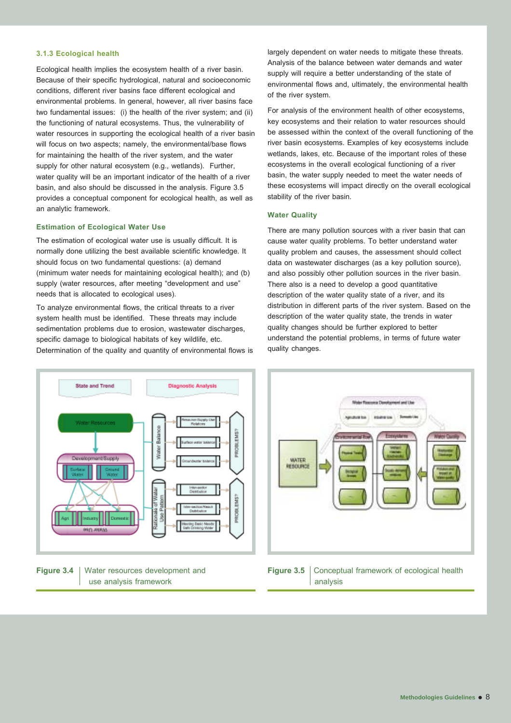#### **3.1.3 Ecological health**

Ecological health implies the ecosystem health of a river basin. Because of their specific hydrological, natural and socioeconomic conditions, different river basins face different ecological and environmental problems. In general, however, all river basins face two fundamental issues: (i) the health of the river system; and (ii) the functioning of natural ecosystems. Thus, the vulnerability of water resources in supporting the ecological health of a river basin will focus on two aspects; namely, the environmental/base flows for maintaining the health of the river system, and the water supply for other natural ecosystem (e.g., wetlands). Further, water quality will be an important indicator of the health of a river basin, and also should be discussed in the analysis. Figure 3.5 provides a conceptual component for ecological health, as well as an analytic framework.

#### **Estimation of Ecological Water Use**

The estimation of ecological water use is usually difficult. It is normally done utilizing the best available scientific knowledge. It should focus on two fundamental questions: (a) demand (minimum water needs for maintaining ecological health); and (b) supply (water resources, after meeting "development and use" needs that is allocated to ecological uses).

To analyze environmental flows, the critical threats to a river system health must be identified. These threats may include sedimentation problems due to erosion, wastewater discharges, specific damage to biological habitats of key wildlife, etc. Determination of the quality and quantity of environmental flows is largely dependent on water needs to mitigate these threats. Analysis of the balance between water demands and water supply will require a better understanding of the state of environmental flows and, ultimately, the environmental health of the river system.

For analysis of the environment health of other ecosystems, key ecosystems and their relation to water resources should be assessed within the context of the overall functioning of the river basin ecosystems. Examples of key ecosystems include wetlands, lakes, etc. Because of the important roles of these ecosystems in the overall ecological functioning of a river basin, the water supply needed to meet the water needs of these ecosystems will impact directly on the overall ecological stability of the river basin.

#### **Water Quality**

There are many pollution sources with a river basin that can cause water quality problems. To better understand water quality problem and causes, the assessment should collect data on wastewater discharges (as a key pollution source), and also possibly other pollution sources in the river basin. There also is a need to develop a good quantitative description of the water quality state of a river, and its distribution in different parts of the river system. Based on the description of the water quality state, the trends in water quality changes should be further explored to better understand the potential problems, in terms of future water quality changes.







**Figure 3.5** | Conceptual framework of ecological health analysis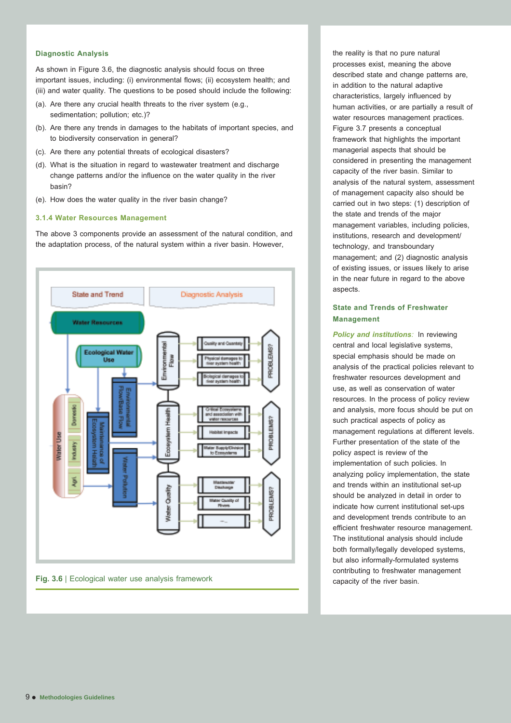#### **Diagnostic Analysis**

As shown in Figure 3.6, the diagnostic analysis should focus on three important issues, including: (i) environmental flows; (ii) ecosystem health; and (iii) and water quality. The questions to be posed should include the following:

- (a). Are there any crucial health threats to the river system (e.g., sedimentation; pollution; etc.)?
- (b). Are there any trends in damages to the habitats of important species, and to biodiversity conservation in general?
- (c). Are there any potential threats of ecological disasters?
- (d). What is the situation in regard to wastewater treatment and discharge change patterns and/or the influence on the water quality in the river basin?
- (e). How does the water quality in the river basin change?

#### **3.1.4 Water Resources Management**

The above 3 components provide an assessment of the natural condition, and the adaptation process, of the natural system within a river basin. However,



**Fig. 3.6** | Ecological water use analysis framework

the reality is that no pure natural processes exist, meaning the above described state and change patterns are, in addition to the natural adaptive characteristics, largely influenced by human activities, or are partially a result of water resources management practices. Figure 3.7 presents a conceptual framework that highlights the important managerial aspects that should be considered in presenting the management capacity of the river basin. Similar to analysis of the natural system, assessment of management capacity also should be carried out in two steps: (1) description of the state and trends of the major management variables, including policies, institutions, research and development/ technology, and transboundary management; and (2) diagnostic analysis of existing issues, or issues likely to arise in the near future in regard to the above aspects.

#### **State and Trends of Freshwater Management**

*Policy and institutions:* In reviewing central and local legislative systems, special emphasis should be made on analysis of the practical policies relevant to freshwater resources development and use, as well as conservation of water resources. In the process of policy review and analysis, more focus should be put on such practical aspects of policy as management regulations at different levels. Further presentation of the state of the policy aspect is review of the implementation of such policies. In analyzing policy implementation, the state and trends within an institutional set-up should be analyzed in detail in order to indicate how current institutional set-ups and development trends contribute to an efficient freshwater resource management. The institutional analysis should include both formally/legally developed systems, but also informally-formulated systems contributing to freshwater management capacity of the river basin.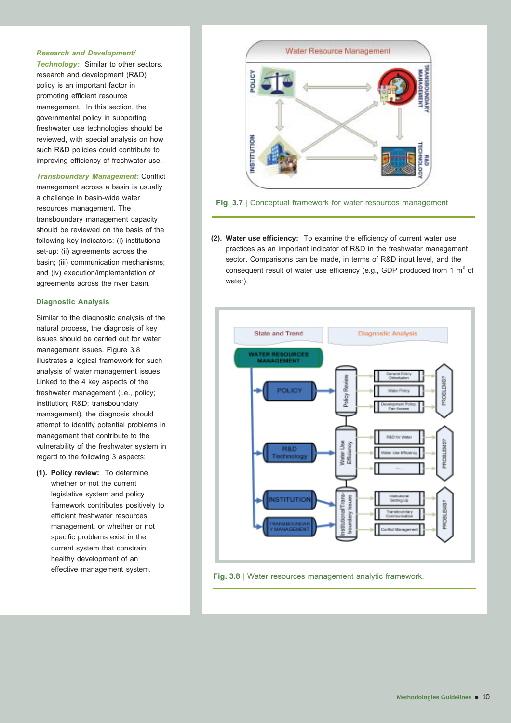#### *Research and Development/*

*Technology:* Similar to other sectors, research and development (R&D) policy is an important factor in promoting efficient resource management. In this section, the governmental policy in supporting freshwater use technologies should be reviewed, with special analysis on how such R&D policies could contribute to improving efficiency of freshwater use.

*Transboundary Management:* Conflict management across a basin is usually a challenge in basin-wide water resources management. The transboundary management capacity should be reviewed on the basis of the following key indicators: (i) institutional set-up; (ii) agreements across the basin; (iii) communication mechanisms; and (iv) execution/implementation of agreements across the river basin.

#### **Diagnostic Analysis**

Similar to the diagnostic analysis of the natural process, the diagnosis of key issues should be carried out for water management issues. Figure 3.8 illustrates a logical framework for such analysis of water management issues. Linked to the 4 key aspects of the freshwater management (i.e., policy; institution; R&D; transboundary management), the diagnosis should attempt to identify potential problems in management that contribute to the vulnerability of the freshwater system in regard to the following 3 aspects:

**(1). Policy review:** To determine whether or not the current legislative system and policy framework contributes positively to efficient freshwater resources management, or whether or not specific problems exist in the current system that constrain healthy development of an effective management system.



**Fig. 3.7** | Conceptual framework for water resources management

**(2). Water use efficiency:** To examine the efficiency of current water use practices as an important indicator of R&D in the freshwater management sector. Comparisons can be made, in terms of R&D input level, and the consequent result of water use efficiency (e.g., GDP produced from 1  $\mathrm{m}^{3}$  of water).



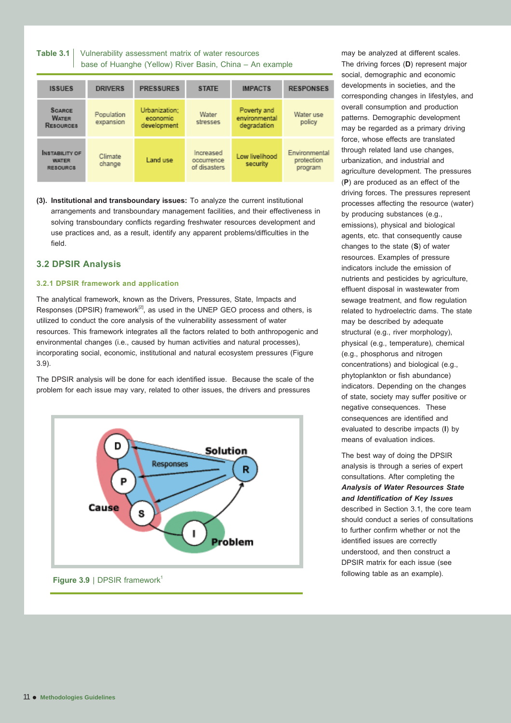| Table 3.1   Vulnerability assessment matrix of water resources |
|----------------------------------------------------------------|
| base of Huanghe (Yellow) River Basin, China - An example       |

| <b>ISSUES</b>                                            | <b>DRIVERS</b>          | <b>PRESSURES</b>                         | <b>STATE</b>                            | <b>IMPACTS</b>                              | <b>RESPONSES</b>                       |
|----------------------------------------------------------|-------------------------|------------------------------------------|-----------------------------------------|---------------------------------------------|----------------------------------------|
| <b>SCARCE</b><br><b>WATER</b><br><b>RESOURCES</b>        | Population<br>expansion | Urbanization;<br>economic<br>development | Water<br>stresses                       | Poverty and<br>environmental<br>degradation | Water use<br>policy                    |
| <b>INSTABILITY OF</b><br><b>WATER</b><br><b>RESOURCS</b> | Climate<br>change       | Land use                                 | Increased<br>occurrence<br>of disasters | Low livelihood<br>security                  | Environmental<br>protection<br>program |

**(3). Institutional and transboundary issues:** To analyze the current institutional arrangements and transboundary management facilities, and their effectiveness in solving transboundary conflicts regarding freshwater resources development and use practices and, as a result, identify any apparent problems/difficulties in the field.

#### **3.2 DPSIR Analysis**

#### **3.2.1 DPSIR framework and application**

The analytical framework, known as the Drivers, Pressures, State, Impacts and Responses (DPSIR) framework<sup>[2]</sup>, as used in the UNEP GEO process and others, is utilized to conduct the core analysis of the vulnerability assessment of water resources. This framework integrates all the factors related to both anthropogenic and environmental changes (i.e., caused by human activities and natural processes), incorporating social, economic, institutional and natural ecosystem pressures (Figure 3.9).

The DPSIR analysis will be done for each identified issue. Because the scale of the problem for each issue may vary, related to other issues, the drivers and pressures



**Figure 3.9** | DPSIR framework<sup>1</sup>

may be analyzed at different scales. The driving forces (**D**) represent major social, demographic and economic developments in societies, and the corresponding changes in lifestyles, and overall consumption and production patterns. Demographic development may be regarded as a primary driving force, whose effects are translated through related land use changes, urbanization, and industrial and agriculture development. The pressures (**P**) are produced as an effect of the driving forces. The pressures represent processes affecting the resource (water) by producing substances (e.g., emissions), physical and biological agents, etc. that consequently cause changes to the state (**S**) of water resources. Examples of pressure indicators include the emission of nutrients and pesticides by agriculture, effluent disposal in wastewater from sewage treatment, and flow regulation related to hydroelectric dams. The state may be described by adequate structural (e.g., river morphology), physical (e.g., temperature), chemical (e.g., phosphorus and nitrogen concentrations) and biological (e.g., phytoplankton or fish abundance) indicators. Depending on the changes of state, society may suffer positive or negative consequences. These consequences are identified and evaluated to describe impacts (**I**) by means of evaluation indices.

The best way of doing the DPSIR analysis is through a series of expert consultations. After completing the *Analysis of Water Resources State and Identification of Key Issues* described in Section 3.1, the core team should conduct a series of consultations to further confirm whether or not the identified issues are correctly understood, and then construct a DPSIR matrix for each issue (see following table as an example).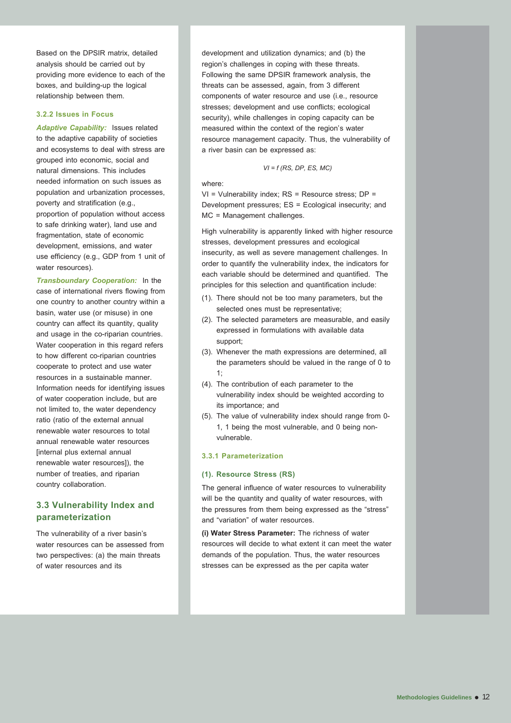Based on the DPSIR matrix, detailed analysis should be carried out by providing more evidence to each of the boxes, and building-up the logical relationship between them.

#### **3.2.2 Issues in Focus**

*Adaptive Capability:* Issues related to the adaptive capability of societies and ecosystems to deal with stress are grouped into economic, social and natural dimensions. This includes needed information on such issues as population and urbanization processes, poverty and stratification (e.g., proportion of population without access to safe drinking water), land use and fragmentation, state of economic development, emissions, and water use efficiency (e.g., GDP from 1 unit of water resources).

*Transboundary Cooperation:* In the case of international rivers flowing from one country to another country within a basin, water use (or misuse) in one country can affect its quantity, quality and usage in the co-riparian countries. Water cooperation in this regard refers to how different co-riparian countries cooperate to protect and use water resources in a sustainable manner. Information needs for identifying issues of water cooperation include, but are not limited to, the water dependency ratio (ratio of the external annual renewable water resources to total annual renewable water resources [internal plus external annual renewable water resources]), the number of treaties, and riparian country collaboration.

#### **3.3 Vulnerability Index and parameterization**

The vulnerability of a river basin's water resources can be assessed from two perspectives: (a) the main threats of water resources and its

development and utilization dynamics; and (b) the region's challenges in coping with these threats. Following the same DPSIR framework analysis, the threats can be assessed, again, from 3 different components of water resource and use (i.e., resource stresses; development and use conflicts; ecological security), while challenges in coping capacity can be measured within the context of the region's water resource management capacity. Thus, the vulnerability of a river basin can be expressed as:

#### *VI = f (RS, DP, ES, MC)*

#### where:

VI = Vulnerability index; RS = Resource stress; DP = Development pressures; ES = Ecological insecurity; and MC = Management challenges.

High vulnerability is apparently linked with higher resource stresses, development pressures and ecological insecurity, as well as severe management challenges. In order to quantify the vulnerability index, the indicators for each variable should be determined and quantified. The principles for this selection and quantification include:

- (1). There should not be too many parameters, but the selected ones must be representative;
- (2). The selected parameters are measurable, and easily expressed in formulations with available data support;
- (3). Whenever the math expressions are determined, all the parameters should be valued in the range of 0 to  $1$
- (4). The contribution of each parameter to the vulnerability index should be weighted according to its importance; and
- (5). The value of vulnerability index should range from 0- 1, 1 being the most vulnerable, and 0 being nonvulnerable.

#### **3.3.1 Parameterization**

#### **(1). Resource Stress (RS)**

The general influence of water resources to vulnerability will be the quantity and quality of water resources, with the pressures from them being expressed as the "stress" and "variation" of water resources.

**(i) Water Stress Parameter:** The richness of water resources will decide to what extent it can meet the water demands of the population. Thus, the water resources stresses can be expressed as the per capita water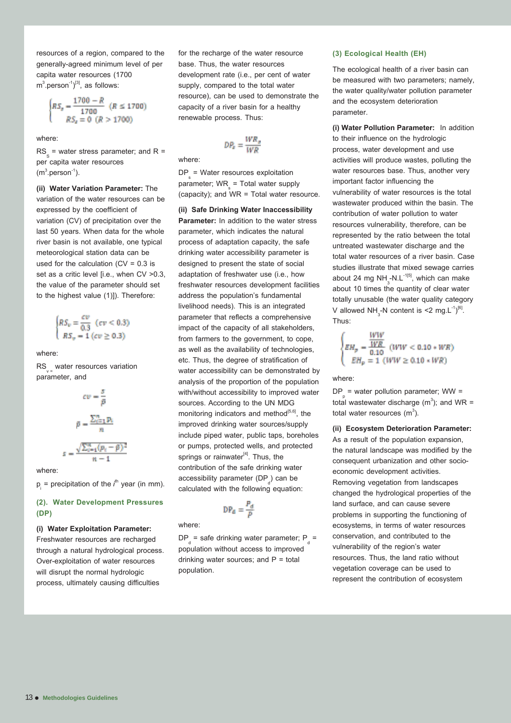resources of a region, compared to the generally-agreed minimum level of per capita water resources (1700  $\text{m}^3$ .person $^{-1})^{[3]}$ , as follows:

$$
\begin{cases} RS_x = \frac{1700 - R}{1700} & (R \le 1700) \\ RS_x = 0 & (R > 1700) \end{cases}
$$

where:

 $\text{RS}_{\text{s}}$  = water stress parameter; and R = per capita water resources  $(m^3.person^{-1}).$ 

**(ii) Water Variation Parameter:** The variation of the water resources can be expressed by the coefficient of variation (CV) of precipitation over the last 50 years. When data for the whole river basin is not available, one typical meteorological station data can be used for the calculation  $(CV = 0.3$  is set as a critic level [i.e., when CV >0.3, the value of the parameter should set to the highest value (1)]). Therefore:

 $\begin{cases} RS_v = \frac{ev}{0.3} \ (cv < 0.3) \\ RS_v = 1 \ (ev \geq 0.3) \end{cases}$ 

where:

RS<sub>v-</sub> water resources variation parameter, and



where:

p<sub>i</sub> = precipitation of the *i*<sup>th</sup> year (in mm).

#### **(2). Water Development Pressures (DP)**

#### **(i) Water Exploitation Parameter:**

Freshwater resources are recharged through a natural hydrological process. Over-exploitation of water resources will disrupt the normal hydrologic process, ultimately causing difficulties

for the recharge of the water resource base. Thus, the water resources development rate (i.e., per cent of water supply, compared to the total water resource), can be used to demonstrate the capacity of a river basin for a healthy renewable process. Thus:

$$
DP_a = \frac{WR_a}{WR}
$$

where:

 $DP_s = Water$  resources exploitation parameter;  $WR_{\frac{1}{s}}$  = Total water supply (capacity); and WR = Total water resource.

**(ii) Safe Drinking Water Inaccessibility Parameter:** In addition to the water stress parameter, which indicates the natural process of adaptation capacity, the safe drinking water accessibility parameter is designed to present the state of social adaptation of freshwater use (i.e., how freshwater resources development facilities address the population's fundamental livelihood needs). This is an integrated parameter that reflects a comprehensive impact of the capacity of all stakeholders, from farmers to the government, to cope, as well as the availability of technologies, etc. Thus, the degree of stratification of water accessibility can be demonstrated by analysis of the proportion of the population with/without accessibility to improved water sources. According to the UN MDG monitoring indicators and method $[5,6]$ , the improved drinking water sources/supply include piped water, public taps, boreholes or pumps, protected wells, and protected springs or rainwater<sup>[4]</sup>. Thus, the contribution of the safe drinking water accessibility parameter (DP<sub>d</sub>) can be calculated with the following equation:

$$
\text{DP}_d = \frac{P_d}{P}
$$

where:

 $DP_{d}$  = safe drinking water parameter;  $P_{d}$  = population without access to improved drinking water sources; and  $P =$  total population.

#### **(3) Ecological Health (EH)**

The ecological health of a river basin can be measured with two parameters; namely, the water quality/water pollution parameter and the ecosystem deterioration parameter.

**(i) Water Pollution Parameter:** In addition to their influence on the hydrologic process, water development and use activities will produce wastes, polluting the water resources base. Thus, another very important factor influencing the vulnerability of water resources is the total wastewater produced within the basin. The contribution of water pollution to water resources vulnerability, therefore, can be represented by the ratio between the total untreated wastewater discharge and the total water resources of a river basin. Case studies illustrate that mixed sewage carries about 24 mg NH $_{\tiny 3}$ -N.L $^{\text{-1[5]}}$ , which can make about 10 times the quantity of clear water totally unusable (the water quality category V allowed NH<sub>3</sub>-N content is <2 mg.L<sup>-1</sup>)<sup>[6]</sup>.<br>Thus:

$$
\begin{cases} \underline{EH}_p = \frac{\underline{WW}}{\underline{W}R} \\ \underline{EH}_p = 1 \ (\underline{WW} < 0.10 * \underline{WR}) \\ \underline{EH}_p = 1 \ (\underline{WW} \ge 0.10 * \underline{WR}) \end{cases}
$$

where:

 $DP_{p}$  = water pollution parameter; WW = total wastewater discharge (m<sup>3</sup>); and WR = total water resources (m $^3$ ).

**(ii) Ecosystem Deterioration Parameter:** As a result of the population expansion, the natural landscape was modified by the consequent urbanization and other socioeconomic development activities. Removing vegetation from landscapes changed the hydrological properties of the land surface, and can cause severe problems in supporting the functioning of ecosystems, in terms of water resources conservation, and contributed to the vulnerability of the region's water resources. Thus, the land ratio without vegetation coverage can be used to represent the contribution of ecosystem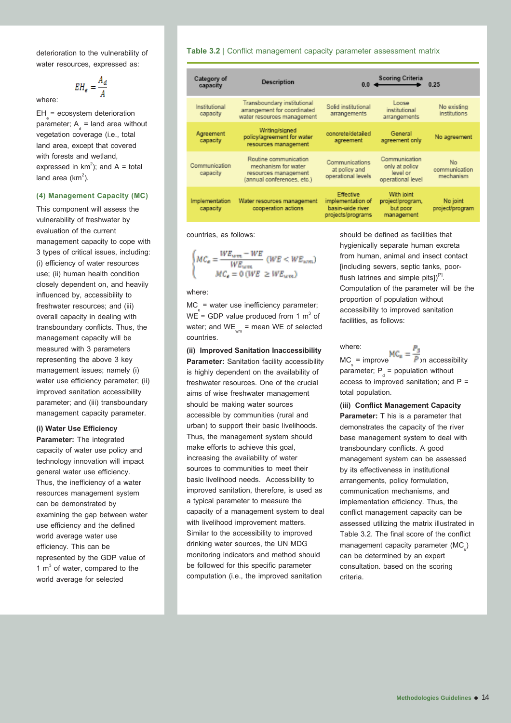deterioration to the vulnerability of water resources, expressed as:

$$
EH_{e} = \frac{A_{d}}{A}
$$

where:

 $EH = e$ cosystem deterioration parameter;  $A_d$  = land area without vegetation coverage (i.e., total land area, except that covered with forests and wetland, expressed in  $km^2$ ); and A = total land area  $(km^2)$ .

#### **(4) Management Capacity (MC)**

This component will assess the vulnerability of freshwater by evaluation of the current management capacity to cope with 3 types of critical issues, including: (i) efficiency of water resources use; (ii) human health condition closely dependent on, and heavily influenced by, accessibility to freshwater resources; and (iii) overall capacity in dealing with transboundary conflicts. Thus, the management capacity will be measured with 3 parameters representing the above 3 key management issues; namely (i) water use efficiency parameter; (ii) improved sanitation accessibility parameter; and (iii) transboundary management capacity parameter.

#### **(i) Water Use Efficiency**

**Parameter:** The integrated capacity of water use policy and technology innovation will impact general water use efficiency. Thus, the inefficiency of a water resources management system can be demonstrated by examining the gap between water use efficiency and the defined world average water use efficiency. This can be represented by the GDP value of 1  $m<sup>3</sup>$  of water, compared to the world average for selected

#### **Table 3.2** | Conflict management capacity parameter assessment matrix

| Category of<br>capacity    | Description                                                                                        | 0 <sub>0</sub>                                                          | Scoring Criteria                                                 |                                  |  |
|----------------------------|----------------------------------------------------------------------------------------------------|-------------------------------------------------------------------------|------------------------------------------------------------------|----------------------------------|--|
| Institutional<br>capacity  | Transboundary institutional<br>arrangement for coordinated<br>water resources management           | Solid institutional<br>arrangements                                     | Loose<br>institutional<br>arrangements                           | No existing<br>institutions      |  |
| Agreement<br>capacity      | Writing/signed<br>policy/agreement for water<br>resources management                               | concrete/detailed<br>agreement                                          | General<br>agreement only                                        | No agreement                     |  |
| Communication<br>capacity  | Routine communication<br>mechanism for water<br>resources management<br>(annual conferences, etc.) | Communications<br>at policy and<br>operational levels                   | Communication<br>only at policy<br>level or<br>operational level | No<br>communication<br>mechanism |  |
| Implementation<br>capacity | Water resources management<br>cooperation actions                                                  | Effective<br>implementation of<br>basin-wide river<br>projects/programs | With joint<br>project/program,<br>but poor<br>management         | No joint<br>project/program      |  |

countries, as follows:

$$
\begin{cases} MC_a = \frac{WE_{wm} - WE}{WE_{wm}} \ (WE < WE_{wm}) \\ MC_a = 0 \ (WE \ge WE_{wm}) \end{cases}
$$

where:

 $MC<sub>e</sub>$  = water use inefficiency parameter;  $WE^{\mathbb{C}}$  = GDP value produced from 1 m<sup>3</sup> of water; and  $WE_{wm}$  = mean WE of selected countries.

**(ii) Improved Sanitation Inaccessibility Parameter:** Sanitation facility accessibility is highly dependent on the availability of freshwater resources. One of the crucial aims of wise freshwater management should be making water sources accessible by communities (rural and urban) to support their basic livelihoods. Thus, the management system should make efforts to achieve this goal, increasing the availability of water sources to communities to meet their basic livelihood needs. Accessibility to improved sanitation, therefore, is used as a typical parameter to measure the capacity of a management system to deal with livelihood improvement matters. Similar to the accessibility to improved drinking water sources, the UN MDG monitoring indicators and method should be followed for this specific parameter computation (i.e., the improved sanitation

should be defined as facilities that hygienically separate human excreta from human, animal and insect contact [including sewers, septic tanks, poorflush latrines and simple pits] $)^{[7]}$ .<br>Computation of the parameter will be the proportion of population without accessibility to improved sanitation facilities, as follows:

where:

 $MC_s =$  improved  $B_{s} = \overline{P}_{2n}$  accessibility parameter;  $P_{d}$  = population without access to improved sanitation; and  $P =$ total population.

**(iii) Conflict Management Capacity Parameter:** T his is a parameter that demonstrates the capacity of the river base management system to deal with transboundary conflicts. A good management system can be assessed by its effectiveness in institutional arrangements, policy formulation, communication mechanisms, and implementation efficiency. Thus, the conflict management capacity can be assessed utilizing the matrix illustrated in Table 3.2. The final score of the conflict management capacity parameter  $(MC_{\frac{1}{s}})$ can be determined by an expert consultation. based on the scoring criteria.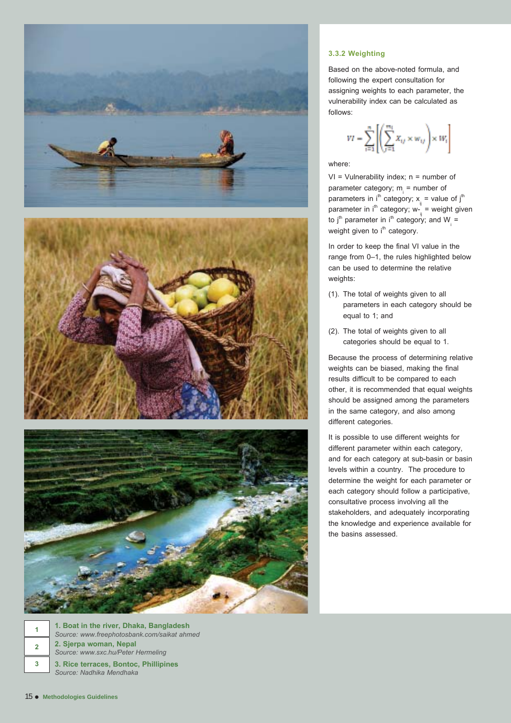







**2. Sjerpa woman, Nepal** *Source: www.sxc.hu/Peter Hermeling* **1. Boat in the river, Dhaka, Bangladesh** *Source: www.freephotosbank.com/saikat ahmed*

**3. Rice terraces, Bontoc, Phillipines** *Source: Nadhika Mendhaka*

#### **3.3.2 Weighting**

Based on the above-noted formula, and following the expert consultation for assigning weights to each parameter, the vulnerability index can be calculated as follows:

$$
VI = \sum_{i=1}^n \left[\left(\sum_{j=1}^{m_i} X_{ij} \times w_{ij}\right) \times W_i\right]
$$

#### where:

 $VI = V$ ulnerability index;  $n =$  number of parameter category;  $m_i$  = number of parameters in  $i^{th}$  category;  $x_{ij} =$  value of  $j^{th}$ parameter in i<sup>th</sup> category; w- $\frac{1}{ij}$  = weight given to j<sup>th</sup> parameter in i<sup>th</sup> category; and W<sub>i</sub> =<br>weight given to i<sup>th</sup> category.

In order to keep the final VI value in the range from 0–1, the rules highlighted below can be used to determine the relative weights:

- (1). The total of weights given to all parameters in each category should be equal to 1; and
- (2). The total of weights given to all categories should be equal to 1.

Because the process of determining relative weights can be biased, making the final results difficult to be compared to each other, it is recommended that equal weights should be assigned among the parameters in the same category, and also among different categories.

It is possible to use different weights for different parameter within each category, and for each category at sub-basin or basin levels within a country. The procedure to determine the weight for each parameter or each category should follow a participative, consultative process involving all the stakeholders, and adequately incorporating the knowledge and experience available for the basins assessed.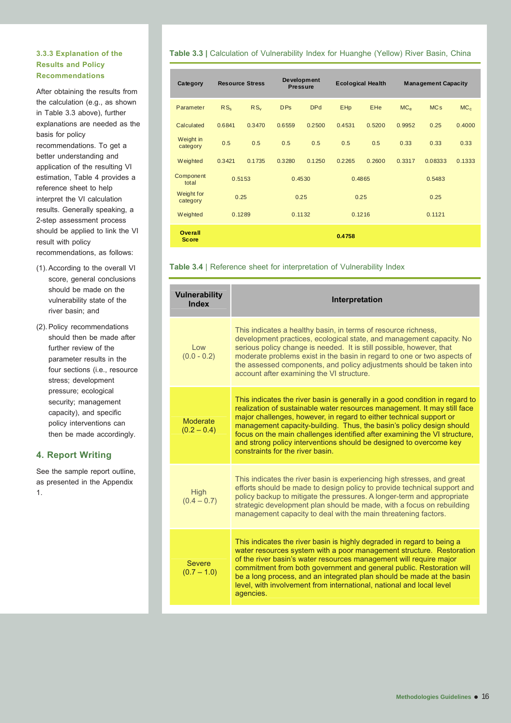#### **3.3.3 Explanation of the Results and Policy Recommendations**

After obtaining the results from the calculation (e.g., as shown in Table 3.3 above), further explanations are needed as the basis for policy recommendations. To get a

better understanding and application of the resulting VI estimation, Table 4 provides a reference sheet to help interpret the VI calculation results. Generally speaking, a 2-step assessment process should be applied to link the VI result with policy recommendations, as follows:

- (1). According to the overall VI score, general conclusions should be made on the vulnerability state of the river basin; and
- (2). Policy recommendations should then be made after further review of the parameter results in the four sections (i.e., resource stress; development pressure; ecological security; management capacity), and specific policy interventions can then be made accordingly.

#### **4. Report Writing**

See the sample report outline, as presented in the Appendix 1.

#### **Table 3.3 | Calculation of Vulnerability Index for Huanghe (Yellow) River Basin, China**

| Category                       |                 | <b>Resource Stress</b> |            | <b>Development</b><br><b>Pressure</b> |            | <b>Ecological Health</b> |                 | <b>Management Capacity</b> |                 |
|--------------------------------|-----------------|------------------------|------------|---------------------------------------|------------|--------------------------|-----------------|----------------------------|-----------------|
| Parameter                      | RS <sub>s</sub> | $RS_v$                 | <b>DPs</b> | <b>DPd</b>                            | <b>EHp</b> | <b>EHe</b>               | MC <sub>e</sub> | <b>MCs</b>                 | MC <sub>c</sub> |
| Calculated                     | 0.6841          | 0.3470                 | 0.6559     | 0.2500                                | 0.4531     | 0.5200                   | 0.9952          | 0.25                       | 0.4000          |
| Weight in<br>category          | 0.5             | 0.5                    | 0.5        | 0.5                                   | 0.5        | 0.5                      | 0.33            | 0.33                       | 0.33            |
| Weighted                       | 0.3421          | 0.1735                 | 0.3280     | 0.1250                                | 0.2265     | 0.2600                   | 0.3317          | 0.08333                    | 0.1333          |
| Component<br>total             |                 | 0.5153                 |            | 0.4530                                | 0.4865     |                          |                 | 0.5483                     |                 |
| Weight for<br>category         | 0.25            |                        |            | 0.25                                  |            | 0.25                     |                 | 0.25                       |                 |
| Weighted                       |                 | 0.1289                 |            | 0.1132                                | 0.1216     |                          |                 | 0.1121                     |                 |
| <b>Overall</b><br><b>Score</b> |                 |                        |            |                                       | 0.4758     |                          |                 |                            |                 |

#### **Table 3.4** | Reference sheet for interpretation of Vulnerability Index

| <b>Vulnerability</b><br><b>Index</b> | Interpretation                                                                                                                                                                                                                                                                                                                                                                                                                                                                                 |
|--------------------------------------|------------------------------------------------------------------------------------------------------------------------------------------------------------------------------------------------------------------------------------------------------------------------------------------------------------------------------------------------------------------------------------------------------------------------------------------------------------------------------------------------|
| $\log$<br>$(0.0 - 0.2)$              | This indicates a healthy basin, in terms of resource richness,<br>development practices, ecological state, and management capacity. No<br>serious policy change is needed. It is still possible, however, that<br>moderate problems exist in the basin in regard to one or two aspects of<br>the assessed components, and policy adjustments should be taken into<br>account after examining the VI structure.                                                                                 |
| Moderate<br>$(0.2 - 0.4)$            | This indicates the river basin is generally in a good condition in regard to<br>realization of sustainable water resources management. It may still face<br>major challenges, however, in regard to either technical support or<br>management capacity-building. Thus, the basin's policy design should<br>focus on the main challenges identified after examining the VI structure,<br>and strong policy interventions should be designed to overcome key<br>constraints for the river basin. |
| High<br>$(0.4 - 0.7)$                | This indicates the river basin is experiencing high stresses, and great<br>efforts should be made to design policy to provide technical support and<br>policy backup to mitigate the pressures. A longer-term and appropriate<br>strategic development plan should be made, with a focus on rebuilding<br>management capacity to deal with the main threatening factors.                                                                                                                       |
| <b>Severe</b><br>$(0.7 - 1.0)$       | This indicates the river basin is highly degraded in regard to being a<br>water resources system with a poor management structure. Restoration<br>of the river basin's water resources management will require major<br>commitment from both government and general public. Restoration will<br>be a long process, and an integrated plan should be made at the basin<br>level, with involvement from international, national and local level<br>agencies.                                     |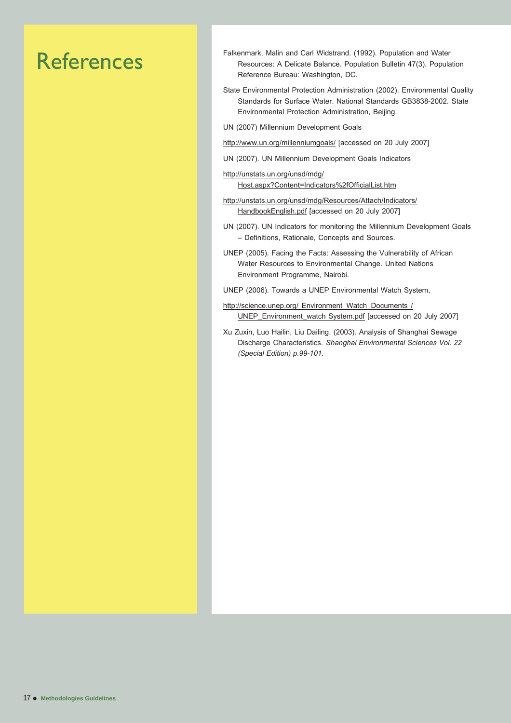## References

- Falkenmark, Malin and Carl Widstrand. (1992). Population and Water Resources: A Delicate Balance. Population Bulletin 47(3). Population Reference Bureau: Washington, DC.
- State Environmental Protection Administration (2002). Environmental Quality Standards for Surface Water. National Standards GB3838-2002. State Environmental Protection Administration, Beijing.
- UN (2007) Millennium Development Goals
- http://www.un.org/millenniumgoals/ [accessed on 20 July 2007]
- UN (2007). UN Millennium Development Goals Indicators
- http://unstats.un.org/unsd/mdg/ Host.aspx?Content=Indicators%2fOfficialList.htm
- http://unstats.un.org/unsd/mdg/Resources/Attach/Indicators/ HandbookEnglish.pdf [accessed on 20 July 2007]
- UN (2007). UN Indicators for monitoring the Millennium Development Goals – Definitions, Rationale, Concepts and Sources.
- UNEP (2005). Facing the Facts: Assessing the Vulnerability of African Water Resources to Environmental Change. United Nations Environment Programme, Nairobi.
- UNEP (2006). Towards a UNEP Environmental Watch System,
- http://science.unep.org/ Environment\_Watch\_Documents / UNEP\_Environment\_watch System.pdf [accessed on 20 July 2007]
- Xu Zuxin, Luo Hailin, Liu Dailing. (2003). Analysis of Shanghai Sewage Discharge Characteristics. *Shanghai Environmental Sciences Vol. 22 (Special Edition) p.99-101.*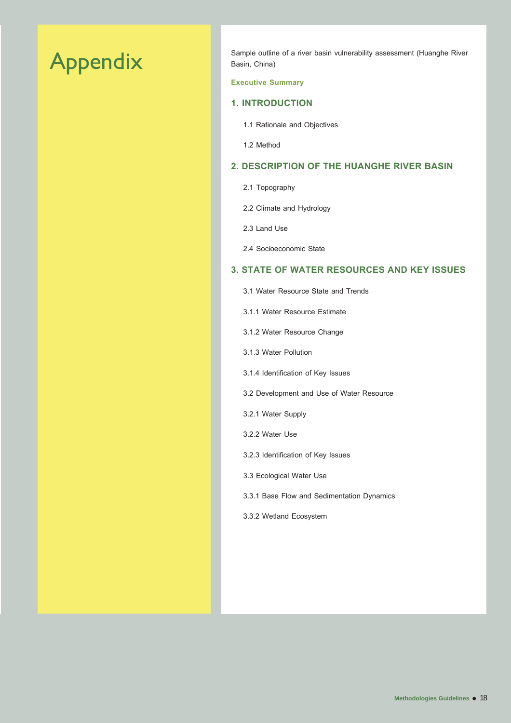## Appendix

Sample outline of a river basin vulnerability assessment (Huanghe River Basin, China)

#### **Executive Summary**

#### **1. INTRODUCTION**

- 1.1 Rationale and Objectives
- 1.2 Method

### **2. DESCRIPTION OF THE HUANGHE RIVER BASIN**

- 2.1 Topography
- 2.2 Climate and Hydrology
- 2.3 Land Use
- 2.4 Socioeconomic State

#### **3. STATE OF WATER RESOURCES AND KEY ISSUES**

- 3.1 Water Resource State and Trends
- 3.1.1 Water Resource Estimate
- 3.1.2 Water Resource Change
- 3.1.3 Water Pollution
- 3.1.4 Identification of Key Issues
- 3.2 Development and Use of Water Resource
- 3.2.1 Water Supply
- 3.2.2 Water Use
- 3.2.3 Identification of Key Issues
- 3.3 Ecological Water Use
- 3.3.1 Base Flow and Sedimentation Dynamics
- 3.3.2 Wetland Ecosystem